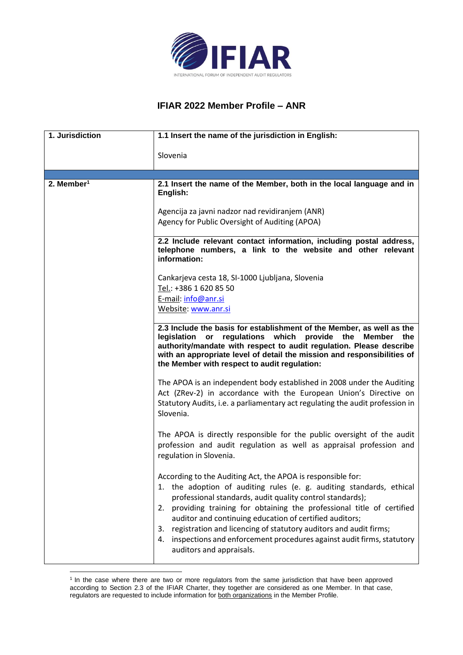

## **IFIAR 2022 Member Profile – ANR**

| 1. Jurisdiction        | 1.1 Insert the name of the jurisdiction in English:                                                                                                                                                                                                                                                                                                                                                                                                                                                                             |
|------------------------|---------------------------------------------------------------------------------------------------------------------------------------------------------------------------------------------------------------------------------------------------------------------------------------------------------------------------------------------------------------------------------------------------------------------------------------------------------------------------------------------------------------------------------|
|                        | Slovenia                                                                                                                                                                                                                                                                                                                                                                                                                                                                                                                        |
| 2. Member <sup>1</sup> | 2.1 Insert the name of the Member, both in the local language and in<br>English:                                                                                                                                                                                                                                                                                                                                                                                                                                                |
|                        | Agencija za javni nadzor nad revidiranjem (ANR)<br>Agency for Public Oversight of Auditing (APOA)                                                                                                                                                                                                                                                                                                                                                                                                                               |
|                        | 2.2 Include relevant contact information, including postal address,<br>telephone numbers, a link to the website and other relevant<br>information:                                                                                                                                                                                                                                                                                                                                                                              |
|                        | Cankarjeva cesta 18, SI-1000 Ljubljana, Slovenia<br>Tel.: +386 1 620 85 50<br>E-mail: info@anr.si<br>Website: www.anr.si                                                                                                                                                                                                                                                                                                                                                                                                        |
|                        | 2.3 Include the basis for establishment of the Member, as well as the<br>regulations which<br>legislation<br>provide the<br><b>Member</b><br>or<br>the<br>authority/mandate with respect to audit regulation. Please describe<br>with an appropriate level of detail the mission and responsibilities of<br>the Member with respect to audit regulation:                                                                                                                                                                        |
|                        | The APOA is an independent body established in 2008 under the Auditing<br>Act (ZRev-2) in accordance with the European Union's Directive on<br>Statutory Audits, i.e. a parliamentary act regulating the audit profession in<br>Slovenia.                                                                                                                                                                                                                                                                                       |
|                        | The APOA is directly responsible for the public oversight of the audit<br>profession and audit regulation as well as appraisal profession and<br>regulation in Slovenia.                                                                                                                                                                                                                                                                                                                                                        |
|                        | According to the Auditing Act, the APOA is responsible for:<br>1. the adoption of auditing rules (e. g. auditing standards, ethical<br>professional standards, audit quality control standards);<br>providing training for obtaining the professional title of certified<br>2.<br>auditor and continuing education of certified auditors;<br>registration and licencing of statutory auditors and audit firms;<br>3.<br>inspections and enforcement procedures against audit firms, statutory<br>4.<br>auditors and appraisals. |

<sup>&</sup>lt;sup>1</sup> In the case where there are two or more regulators from the same jurisdiction that have been approved according to Section 2.3 of the IFIAR Charter, they together are considered as one Member. In that case, regulators are requested to include information for both organizations in the Member Profile.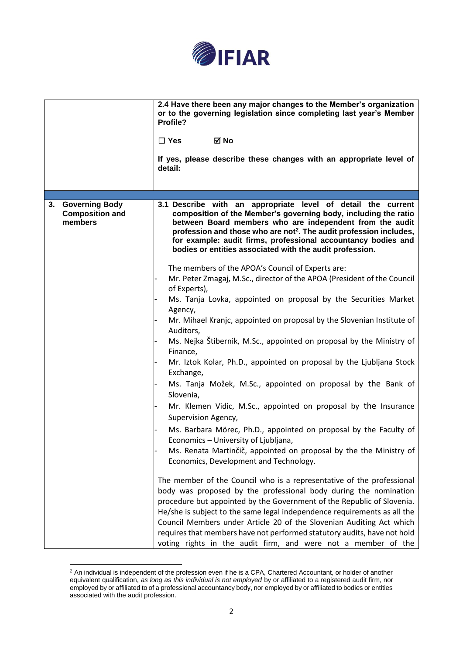

|    |                                                            | 2.4 Have there been any major changes to the Member's organization<br>or to the governing legislation since completing last year's Member<br>Profile?<br>⊠ No<br>$\Box$ Yes<br>If yes, please describe these changes with an appropriate level of<br>detail:                                                                                                                                               |
|----|------------------------------------------------------------|------------------------------------------------------------------------------------------------------------------------------------------------------------------------------------------------------------------------------------------------------------------------------------------------------------------------------------------------------------------------------------------------------------|
|    |                                                            |                                                                                                                                                                                                                                                                                                                                                                                                            |
| 3. | <b>Governing Body</b><br><b>Composition and</b><br>members | 3.1 Describe with an appropriate level of detail the current<br>composition of the Member's governing body, including the ratio<br>between Board members who are independent from the audit<br>profession and those who are not <sup>2</sup> . The audit profession includes,<br>for example: audit firms, professional accountancy bodies and<br>bodies or entities associated with the audit profession. |
|    |                                                            | The members of the APOA's Council of Experts are:                                                                                                                                                                                                                                                                                                                                                          |
|    |                                                            | Mr. Peter Zmagaj, M.Sc., director of the APOA (President of the Council<br>of Experts),                                                                                                                                                                                                                                                                                                                    |
|    |                                                            | Ms. Tanja Lovka, appointed on proposal by the Securities Market<br>Agency,                                                                                                                                                                                                                                                                                                                                 |
|    |                                                            | Mr. Mihael Kranjc, appointed on proposal by the Slovenian Institute of<br>Auditors,                                                                                                                                                                                                                                                                                                                        |
|    |                                                            | Ms. Nejka Štibernik, M.Sc., appointed on proposal by the Ministry of<br>Finance,                                                                                                                                                                                                                                                                                                                           |
|    |                                                            | Mr. Iztok Kolar, Ph.D., appointed on proposal by the Ljubljana Stock<br>Exchange,                                                                                                                                                                                                                                                                                                                          |
|    |                                                            | Ms. Tanja Možek, M.Sc., appointed on proposal by the Bank of<br>Slovenia,                                                                                                                                                                                                                                                                                                                                  |
|    |                                                            | Mr. Klemen Vidic, M.Sc., appointed on proposal by the Insurance<br>Supervision Agency,                                                                                                                                                                                                                                                                                                                     |
|    |                                                            | Ms. Barbara Mörec, Ph.D., appointed on proposal by the Faculty of<br>Economics - University of Ljubljana,                                                                                                                                                                                                                                                                                                  |
|    |                                                            | Ms. Renata Martinčič, appointed on proposal by the the Ministry of                                                                                                                                                                                                                                                                                                                                         |
|    |                                                            | Economics, Development and Technology.                                                                                                                                                                                                                                                                                                                                                                     |
|    |                                                            | The member of the Council who is a representative of the professional<br>body was proposed by the professional body during the nomination                                                                                                                                                                                                                                                                  |
|    |                                                            | procedure but appointed by the Government of the Republic of Slovenia.                                                                                                                                                                                                                                                                                                                                     |
|    |                                                            | He/she is subject to the same legal independence requirements as all the                                                                                                                                                                                                                                                                                                                                   |
|    |                                                            | Council Members under Article 20 of the Slovenian Auditing Act which                                                                                                                                                                                                                                                                                                                                       |
|    |                                                            | requires that members have not performed statutory audits, have not hold                                                                                                                                                                                                                                                                                                                                   |
|    |                                                            | voting rights in the audit firm, and were not a member of the                                                                                                                                                                                                                                                                                                                                              |

 $2$  An individual is independent of the profession even if he is a CPA, Chartered Accountant, or holder of another equivalent qualification, *as long as this individual is not employed* by or affiliated to a registered audit firm, nor employed by or affiliated to of a professional accountancy body, nor employed by or affiliated to bodies or entities associated with the audit profession.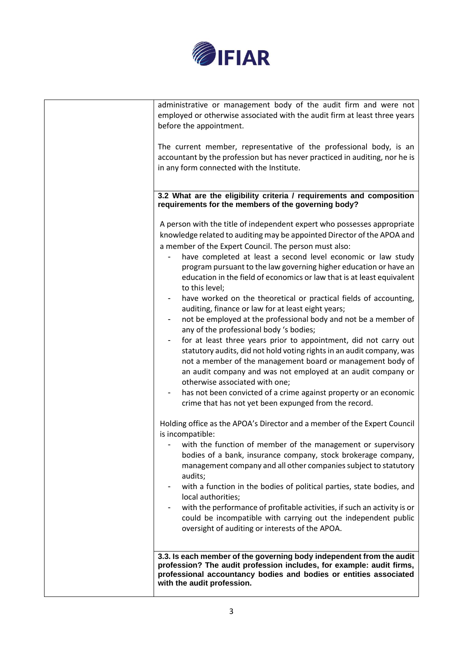

| administrative or management body of the audit firm and were not<br>employed or otherwise associated with the audit firm at least three years<br>before the appointment.<br>The current member, representative of the professional body, is an<br>accountant by the profession but has never practiced in auditing, nor he is<br>in any form connected with the Institute.                                                                                                                                                                                                                                                                                                                                                                                                                                                                                                                                                                                                                                                                                                                                                       |
|----------------------------------------------------------------------------------------------------------------------------------------------------------------------------------------------------------------------------------------------------------------------------------------------------------------------------------------------------------------------------------------------------------------------------------------------------------------------------------------------------------------------------------------------------------------------------------------------------------------------------------------------------------------------------------------------------------------------------------------------------------------------------------------------------------------------------------------------------------------------------------------------------------------------------------------------------------------------------------------------------------------------------------------------------------------------------------------------------------------------------------|
| 3.2 What are the eligibility criteria / requirements and composition<br>requirements for the members of the governing body?                                                                                                                                                                                                                                                                                                                                                                                                                                                                                                                                                                                                                                                                                                                                                                                                                                                                                                                                                                                                      |
| A person with the title of independent expert who possesses appropriate<br>knowledge related to auditing may be appointed Director of the APOA and<br>a member of the Expert Council. The person must also:<br>have completed at least a second level economic or law study<br>program pursuant to the law governing higher education or have an<br>education in the field of economics or law that is at least equivalent<br>to this level;<br>have worked on the theoretical or practical fields of accounting,<br>auditing, finance or law for at least eight years;<br>not be employed at the professional body and not be a member of<br>any of the professional body 's bodies;<br>for at least three years prior to appointment, did not carry out<br>statutory audits, did not hold voting rights in an audit company, was<br>not a member of the management board or management body of<br>an audit company and was not employed at an audit company or<br>otherwise associated with one;<br>has not been convicted of a crime against property or an economic<br>crime that has not yet been expunged from the record. |
| Holding office as the APOA's Director and a member of the Expert Council<br>is incompatible:<br>with the function of member of the management or supervisory<br>bodies of a bank, insurance company, stock brokerage company,<br>management company and all other companies subject to statutory<br>audits;<br>with a function in the bodies of political parties, state bodies, and<br>local authorities;<br>with the performance of profitable activities, if such an activity is or<br>could be incompatible with carrying out the independent public<br>oversight of auditing or interests of the APOA.                                                                                                                                                                                                                                                                                                                                                                                                                                                                                                                      |
| 3.3. Is each member of the governing body independent from the audit<br>profession? The audit profession includes, for example: audit firms,<br>professional accountancy bodies and bodies or entities associated<br>with the audit profession.                                                                                                                                                                                                                                                                                                                                                                                                                                                                                                                                                                                                                                                                                                                                                                                                                                                                                  |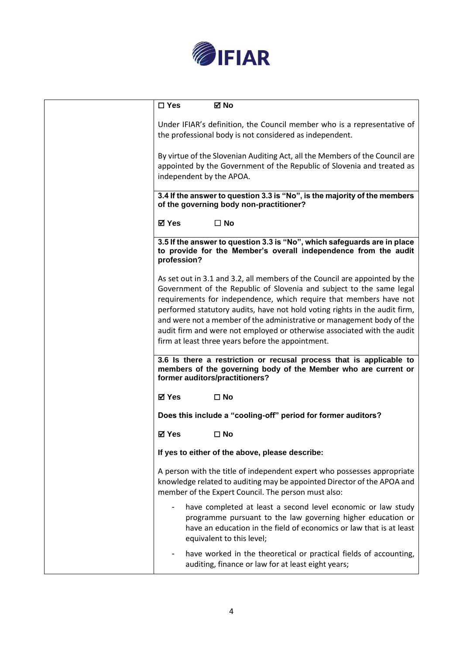

| $\square$ Yes<br>⊠ No                                                                                                                                                                                                                                                                                                                                                                                                                                                                                           |
|-----------------------------------------------------------------------------------------------------------------------------------------------------------------------------------------------------------------------------------------------------------------------------------------------------------------------------------------------------------------------------------------------------------------------------------------------------------------------------------------------------------------|
| Under IFIAR's definition, the Council member who is a representative of<br>the professional body is not considered as independent.                                                                                                                                                                                                                                                                                                                                                                              |
| By virtue of the Slovenian Auditing Act, all the Members of the Council are<br>appointed by the Government of the Republic of Slovenia and treated as<br>independent by the APOA.                                                                                                                                                                                                                                                                                                                               |
| 3.4 If the answer to question 3.3 is "No", is the majority of the members<br>of the governing body non-practitioner?                                                                                                                                                                                                                                                                                                                                                                                            |
| <b>⊠</b> Yes<br>$\square$ No                                                                                                                                                                                                                                                                                                                                                                                                                                                                                    |
| 3.5 If the answer to question 3.3 is "No", which safeguards are in place<br>to provide for the Member's overall independence from the audit<br>profession?                                                                                                                                                                                                                                                                                                                                                      |
| As set out in 3.1 and 3.2, all members of the Council are appointed by the<br>Government of the Republic of Slovenia and subject to the same legal<br>requirements for independence, which require that members have not<br>performed statutory audits, have not hold voting rights in the audit firm,<br>and were not a member of the administrative or management body of the<br>audit firm and were not employed or otherwise associated with the audit<br>firm at least three years before the appointment. |
| 3.6 Is there a restriction or recusal process that is applicable to<br>members of the governing body of the Member who are current or<br>former auditors/practitioners?                                                                                                                                                                                                                                                                                                                                         |
| ⊠ Yes<br>$\square$ No                                                                                                                                                                                                                                                                                                                                                                                                                                                                                           |
| Does this include a "cooling-off" period for former auditors?                                                                                                                                                                                                                                                                                                                                                                                                                                                   |
| ⊠ Yes<br>$\square$ No                                                                                                                                                                                                                                                                                                                                                                                                                                                                                           |
| If yes to either of the above, please describe:                                                                                                                                                                                                                                                                                                                                                                                                                                                                 |
| A person with the title of independent expert who possesses appropriate<br>knowledge related to auditing may be appointed Director of the APOA and<br>member of the Expert Council. The person must also:                                                                                                                                                                                                                                                                                                       |
| have completed at least a second level economic or law study<br>programme pursuant to the law governing higher education or<br>have an education in the field of economics or law that is at least<br>equivalent to this level;                                                                                                                                                                                                                                                                                 |
| have worked in the theoretical or practical fields of accounting,<br>auditing, finance or law for at least eight years;                                                                                                                                                                                                                                                                                                                                                                                         |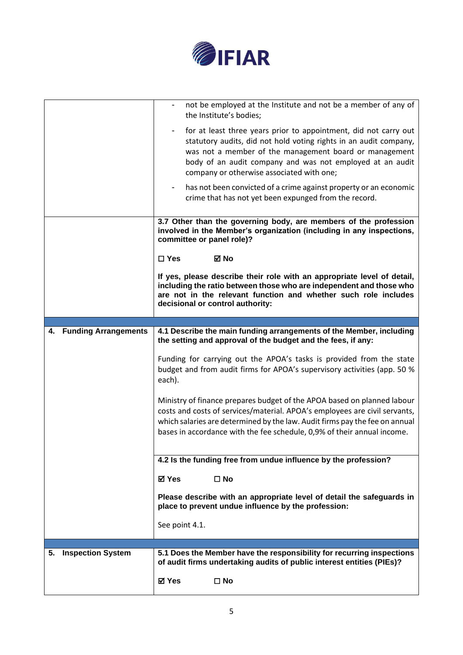

|                         | not be employed at the Institute and not be a member of any of<br>the Institute's bodies;                                                                                                                                                                                                                       |
|-------------------------|-----------------------------------------------------------------------------------------------------------------------------------------------------------------------------------------------------------------------------------------------------------------------------------------------------------------|
|                         | for at least three years prior to appointment, did not carry out<br>statutory audits, did not hold voting rights in an audit company,<br>was not a member of the management board or management<br>body of an audit company and was not employed at an audit<br>company or otherwise associated with one;       |
|                         | has not been convicted of a crime against property or an economic<br>crime that has not yet been expunged from the record.                                                                                                                                                                                      |
|                         | 3.7 Other than the governing body, are members of the profession<br>involved in the Member's organization (including in any inspections,<br>committee or panel role)?                                                                                                                                           |
|                         | $\boxtimes$ No<br>$\square$ Yes                                                                                                                                                                                                                                                                                 |
|                         | If yes, please describe their role with an appropriate level of detail,<br>including the ratio between those who are independent and those who<br>are not in the relevant function and whether such role includes<br>decisional or control authority:                                                           |
|                         |                                                                                                                                                                                                                                                                                                                 |
| 4. Funding Arrangements | 4.1 Describe the main funding arrangements of the Member, including<br>the setting and approval of the budget and the fees, if any:                                                                                                                                                                             |
|                         | Funding for carrying out the APOA's tasks is provided from the state<br>budget and from audit firms for APOA's supervisory activities (app. 50 %<br>each).                                                                                                                                                      |
|                         | Ministry of finance prepares budget of the APOA based on planned labour<br>costs and costs of services/material. APOA's employees are civil servants,<br>which salaries are determined by the law. Audit firms pay the fee on annual<br>bases in accordance with the fee schedule, 0,9% of their annual income. |
|                         | 4.2 Is the funding free from undue influence by the profession?                                                                                                                                                                                                                                                 |
|                         | $\square$ No<br>⊠ Yes                                                                                                                                                                                                                                                                                           |
|                         | Please describe with an appropriate level of detail the safeguards in<br>place to prevent undue influence by the profession:                                                                                                                                                                                    |
|                         | See point 4.1.                                                                                                                                                                                                                                                                                                  |
|                         |                                                                                                                                                                                                                                                                                                                 |
| 5. Inspection System    | 5.1 Does the Member have the responsibility for recurring inspections                                                                                                                                                                                                                                           |
|                         | of audit firms undertaking audits of public interest entities (PIEs)?                                                                                                                                                                                                                                           |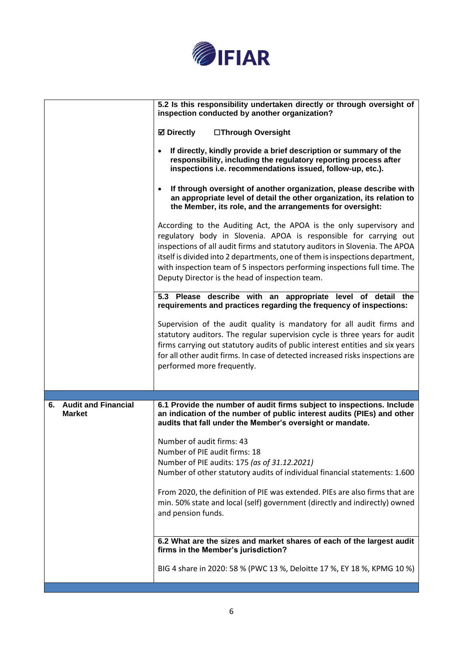

|                                                   | 5.2 Is this responsibility undertaken directly or through oversight of<br>inspection conducted by another organization?                                                                                                                                                                                                                                                                                                                  |
|---------------------------------------------------|------------------------------------------------------------------------------------------------------------------------------------------------------------------------------------------------------------------------------------------------------------------------------------------------------------------------------------------------------------------------------------------------------------------------------------------|
|                                                   | <b>⊠</b> Directly<br>□Through Oversight                                                                                                                                                                                                                                                                                                                                                                                                  |
|                                                   | If directly, kindly provide a brief description or summary of the<br>responsibility, including the regulatory reporting process after<br>inspections i.e. recommendations issued, follow-up, etc.).                                                                                                                                                                                                                                      |
|                                                   | If through oversight of another organization, please describe with<br>an appropriate level of detail the other organization, its relation to<br>the Member, its role, and the arrangements for oversight:                                                                                                                                                                                                                                |
|                                                   | According to the Auditing Act, the APOA is the only supervisory and<br>regulatory body in Slovenia. APOA is responsible for carrying out<br>inspections of all audit firms and statutory auditors in Slovenia. The APOA<br>itself is divided into 2 departments, one of them is inspections department,<br>with inspection team of 5 inspectors performing inspections full time. The<br>Deputy Director is the head of inspection team. |
|                                                   | 5.3 Please describe with an appropriate level of detail the<br>requirements and practices regarding the frequency of inspections:                                                                                                                                                                                                                                                                                                        |
|                                                   | Supervision of the audit quality is mandatory for all audit firms and<br>statutory auditors. The regular supervision cycle is three years for audit<br>firms carrying out statutory audits of public interest entities and six years<br>for all other audit firms. In case of detected increased risks inspections are<br>performed more frequently.                                                                                     |
| <b>Audit and Financial</b><br>6.<br><b>Market</b> | 6.1 Provide the number of audit firms subject to inspections. Include<br>an indication of the number of public interest audits (PIEs) and other                                                                                                                                                                                                                                                                                          |
|                                                   | audits that fall under the Member's oversight or mandate.                                                                                                                                                                                                                                                                                                                                                                                |
|                                                   | Number of audit firms: 43                                                                                                                                                                                                                                                                                                                                                                                                                |
|                                                   | Number of PIE audit firms: 18<br>Number of PIE audits: 175 (as of 31.12.2021)                                                                                                                                                                                                                                                                                                                                                            |
|                                                   | Number of other statutory audits of individual financial statements: 1.600                                                                                                                                                                                                                                                                                                                                                               |
|                                                   | From 2020, the definition of PIE was extended. PIEs are also firms that are<br>min. 50% state and local (self) government (directly and indirectly) owned<br>and pension funds.                                                                                                                                                                                                                                                          |
|                                                   | 6.2 What are the sizes and market shares of each of the largest audit<br>firms in the Member's jurisdiction?                                                                                                                                                                                                                                                                                                                             |
|                                                   | BIG 4 share in 2020: 58 % (PWC 13 %, Deloitte 17 %, EY 18 %, KPMG 10 %)                                                                                                                                                                                                                                                                                                                                                                  |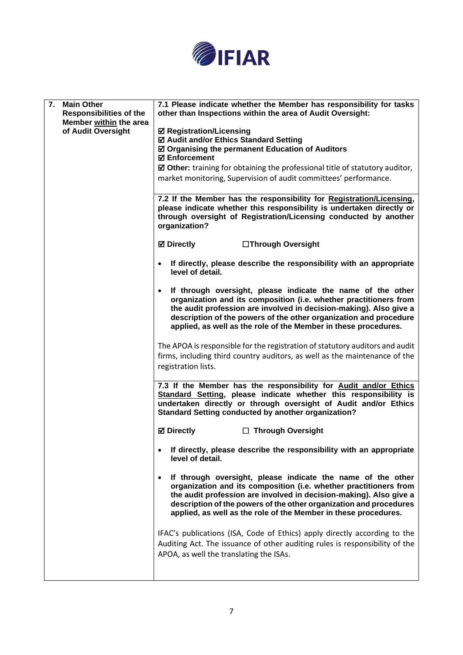

| 7.<br><b>Main Other</b>                                  | 7.1 Please indicate whether the Member has responsibility for tasks                                                                                                                                                                                                                                                                                          |
|----------------------------------------------------------|--------------------------------------------------------------------------------------------------------------------------------------------------------------------------------------------------------------------------------------------------------------------------------------------------------------------------------------------------------------|
| <b>Responsibilities of the</b><br>Member within the area | other than Inspections within the area of Audit Oversight:                                                                                                                                                                                                                                                                                                   |
| of Audit Oversight                                       | <b>Ø Registration/Licensing</b>                                                                                                                                                                                                                                                                                                                              |
|                                                          | ☑ Audit and/or Ethics Standard Setting                                                                                                                                                                                                                                                                                                                       |
|                                                          | ☑ Organising the permanent Education of Auditors<br><b>Ø</b> Enforcement                                                                                                                                                                                                                                                                                     |
|                                                          | $\boxtimes$ Other: training for obtaining the professional title of statutory auditor,                                                                                                                                                                                                                                                                       |
|                                                          | market monitoring, Supervision of audit committees' performance.                                                                                                                                                                                                                                                                                             |
|                                                          |                                                                                                                                                                                                                                                                                                                                                              |
|                                                          | 7.2 If the Member has the responsibility for Registration/Licensing,<br>please indicate whether this responsibility is undertaken directly or<br>through oversight of Registration/Licensing conducted by another<br>organization?                                                                                                                           |
|                                                          | $\boxtimes$ Directly<br>□Through Oversight                                                                                                                                                                                                                                                                                                                   |
|                                                          | If directly, please describe the responsibility with an appropriate<br>$\bullet$<br>level of detail.                                                                                                                                                                                                                                                         |
|                                                          | If through oversight, please indicate the name of the other<br>$\bullet$<br>organization and its composition (i.e. whether practitioners from<br>the audit profession are involved in decision-making). Also give a<br>description of the powers of the other organization and procedure<br>applied, as well as the role of the Member in these procedures.  |
|                                                          | The APOA is responsible for the registration of statutory auditors and audit<br>firms, including third country auditors, as well as the maintenance of the<br>registration lists.                                                                                                                                                                            |
|                                                          |                                                                                                                                                                                                                                                                                                                                                              |
|                                                          | 7.3 If the Member has the responsibility for Audit and/or Ethics<br>Standard Setting, please indicate whether this responsibility is<br>undertaken directly or through oversight of Audit and/or Ethics<br><b>Standard Setting conducted by another organization?</b>                                                                                        |
|                                                          | <b>⊠</b> Directly<br>$\Box$ Through Oversight                                                                                                                                                                                                                                                                                                                |
|                                                          | If directly, please describe the responsibility with an appropriate<br>level of detail.                                                                                                                                                                                                                                                                      |
|                                                          | If through oversight, please indicate the name of the other<br>$\bullet$<br>organization and its composition (i.e. whether practitioners from<br>the audit profession are involved in decision-making). Also give a<br>description of the powers of the other organization and procedures<br>applied, as well as the role of the Member in these procedures. |
|                                                          | IFAC's publications (ISA, Code of Ethics) apply directly according to the<br>Auditing Act. The issuance of other auditing rules is responsibility of the<br>APOA, as well the translating the ISAs.                                                                                                                                                          |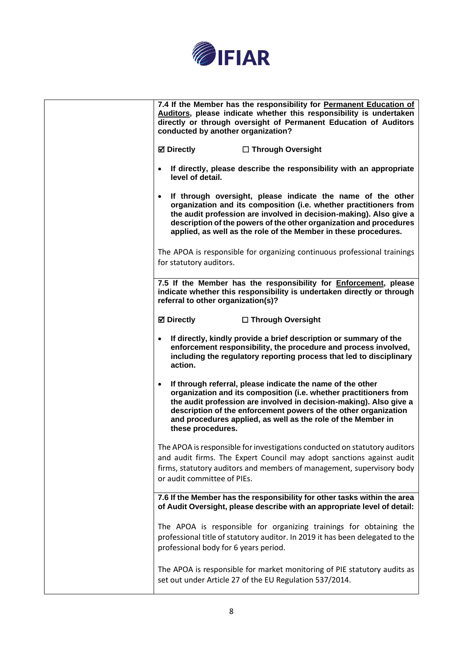

| 7.4 If the Member has the responsibility for Permanent Education of<br>Auditors, please indicate whether this responsibility is undertaken<br>directly or through oversight of Permanent Education of Auditors<br>conducted by another organization?                                                                                                          |
|---------------------------------------------------------------------------------------------------------------------------------------------------------------------------------------------------------------------------------------------------------------------------------------------------------------------------------------------------------------|
| <b>Ø</b> Directly<br>□ Through Oversight                                                                                                                                                                                                                                                                                                                      |
| If directly, please describe the responsibility with an appropriate<br>level of detail.                                                                                                                                                                                                                                                                       |
| If through oversight, please indicate the name of the other<br>organization and its composition (i.e. whether practitioners from<br>the audit profession are involved in decision-making). Also give a<br>description of the powers of the other organization and procedures<br>applied, as well as the role of the Member in these procedures.               |
| The APOA is responsible for organizing continuous professional trainings<br>for statutory auditors.                                                                                                                                                                                                                                                           |
| 7.5 If the Member has the responsibility for Enforcement, please<br>indicate whether this responsibility is undertaken directly or through<br>referral to other organization(s)?                                                                                                                                                                              |
| <b>☑ Directly</b><br>□ Through Oversight                                                                                                                                                                                                                                                                                                                      |
| If directly, kindly provide a brief description or summary of the<br>enforcement responsibility, the procedure and process involved,<br>including the regulatory reporting process that led to disciplinary<br>action.                                                                                                                                        |
| If through referral, please indicate the name of the other<br>organization and its composition (i.e. whether practitioners from<br>the audit profession are involved in decision-making). Also give a<br>description of the enforcement powers of the other organization<br>and procedures applied, as well as the role of the Member in<br>these procedures. |
| The APOA is responsible for investigations conducted on statutory auditors<br>and audit firms. The Expert Council may adopt sanctions against audit<br>firms, statutory auditors and members of management, supervisory body<br>or audit committee of PIEs.                                                                                                   |
| 7.6 If the Member has the responsibility for other tasks within the area<br>of Audit Oversight, please describe with an appropriate level of detail:                                                                                                                                                                                                          |
| The APOA is responsible for organizing trainings for obtaining the<br>professional title of statutory auditor. In 2019 it has been delegated to the<br>professional body for 6 years period.                                                                                                                                                                  |
| The APOA is responsible for market monitoring of PIE statutory audits as<br>set out under Article 27 of the EU Regulation 537/2014.                                                                                                                                                                                                                           |